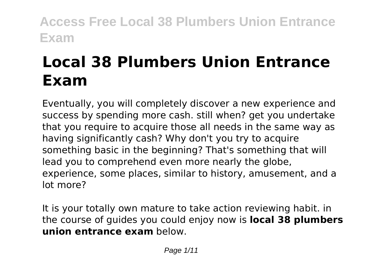# **Local 38 Plumbers Union Entrance Exam**

Eventually, you will completely discover a new experience and success by spending more cash. still when? get you undertake that you require to acquire those all needs in the same way as having significantly cash? Why don't you try to acquire something basic in the beginning? That's something that will lead you to comprehend even more nearly the globe, experience, some places, similar to history, amusement, and a lot more?

It is your totally own mature to take action reviewing habit. in the course of guides you could enjoy now is **local 38 plumbers union entrance exam** below.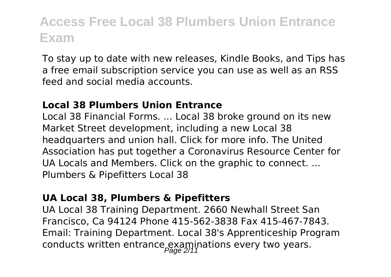To stay up to date with new releases, Kindle Books, and Tips has a free email subscription service you can use as well as an RSS feed and social media accounts.

#### **Local 38 Plumbers Union Entrance**

Local 38 Financial Forms. ... Local 38 broke ground on its new Market Street development, including a new Local 38 headquarters and union hall. Click for more info. The United Association has put together a Coronavirus Resource Center for UA Locals and Members. Click on the graphic to connect. ... Plumbers & Pipefitters Local 38

#### **UA Local 38, Plumbers & Pipefitters**

UA Local 38 Training Department. 2660 Newhall Street San Francisco, Ca 94124 Phone 415-562-3838 Fax 415-467-7843. Email: Training Department. Local 38's Apprenticeship Program conducts written entrance examinations every two years.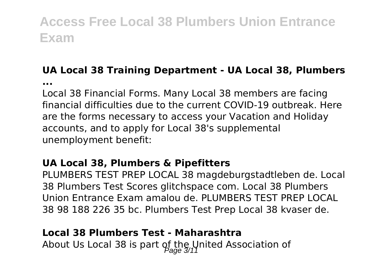### **UA Local 38 Training Department - UA Local 38, Plumbers**

**...**

Local 38 Financial Forms. Many Local 38 members are facing financial difficulties due to the current COVID-19 outbreak. Here are the forms necessary to access your Vacation and Holiday accounts, and to apply for Local 38's supplemental unemployment benefit:

#### **UA Local 38, Plumbers & Pipefitters**

PLUMBERS TEST PREP LOCAL 38 magdeburgstadtleben de. Local 38 Plumbers Test Scores glitchspace com. Local 38 Plumbers Union Entrance Exam amalou de. PLUMBERS TEST PREP LOCAL 38 98 188 226 35 bc. Plumbers Test Prep Local 38 kvaser de.

#### **Local 38 Plumbers Test - Maharashtra**

About Us Local 38 is part of the United Association of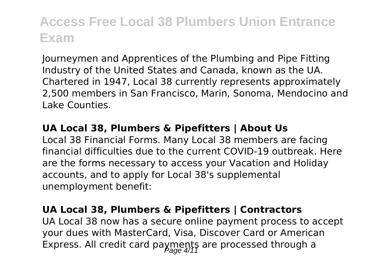Journeymen and Apprentices of the Plumbing and Pipe Fitting Industry of the United States and Canada, known as the UA. Chartered in 1947, Local 38 currently represents approximately 2,500 members in San Francisco, Marin, Sonoma, Mendocino and Lake Counties.

#### **UA Local 38, Plumbers & Pipefitters | About Us**

Local 38 Financial Forms. Many Local 38 members are facing financial difficulties due to the current COVID-19 outbreak. Here are the forms necessary to access your Vacation and Holiday accounts, and to apply for Local 38's supplemental unemployment benefit:

#### **UA Local 38, Plumbers & Pipefitters | Contractors**

UA Local 38 now has a secure online payment process to accept your dues with MasterCard, Visa, Discover Card or American Express. All credit card payments are processed through a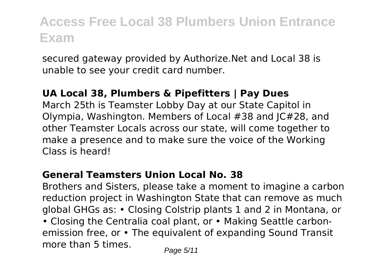secured gateway provided by Authorize.Net and Local 38 is unable to see your credit card number.

#### **UA Local 38, Plumbers & Pipefitters | Pay Dues**

March 25th is Teamster Lobby Day at our State Capitol in Olympia, Washington. Members of Local #38 and JC#28, and other Teamster Locals across our state, will come together to make a presence and to make sure the voice of the Working Class is heard!

#### **General Teamsters Union Local No. 38**

Brothers and Sisters, please take a moment to imagine a carbon reduction project in Washington State that can remove as much global GHGs as: • Closing Colstrip plants 1 and 2 in Montana, or • Closing the Centralia coal plant, or • Making Seattle carbonemission free, or • The equivalent of expanding Sound Transit more than 5 times.  $P_{\text{face } 5/11}$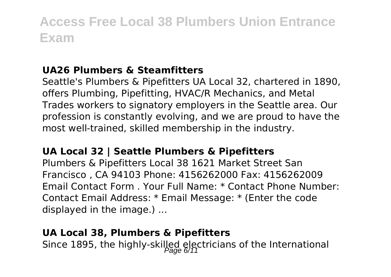#### **UA26 Plumbers & Steamfitters**

Seattle's Plumbers & Pipefitters UA Local 32, chartered in 1890, offers Plumbing, Pipefitting, HVAC/R Mechanics, and Metal Trades workers to signatory employers in the Seattle area. Our profession is constantly evolving, and we are proud to have the most well-trained, skilled membership in the industry.

#### **UA Local 32 | Seattle Plumbers & Pipefitters**

Plumbers & Pipefitters Local 38 1621 Market Street San Francisco , CA 94103 Phone: 4156262000 Fax: 4156262009 Email Contact Form . Your Full Name: \* Contact Phone Number: Contact Email Address: \* Email Message: \* (Enter the code displayed in the image.) ...

#### **UA Local 38, Plumbers & Pipefitters**

Since 1895, the highly-skilled electricians of the International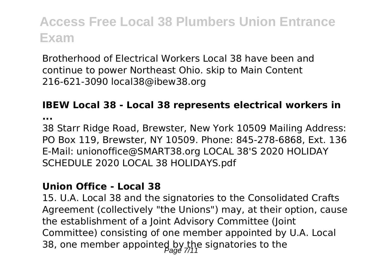Brotherhood of Electrical Workers Local 38 have been and continue to power Northeast Ohio. skip to Main Content 216-621-3090 local38@ibew38.org

#### **IBEW Local 38 - Local 38 represents electrical workers in**

**...**

38 Starr Ridge Road, Brewster, New York 10509 Mailing Address: PO Box 119, Brewster, NY 10509. Phone: 845-278-6868, Ext. 136 E-Mail: unionoffice@SMART38.org LOCAL 38'S 2020 HOLIDAY SCHEDULE 2020 LOCAL 38 HOLIDAYS.pdf

#### **Union Office - Local 38**

15. U.A. Local 38 and the signatories to the Consolidated Crafts Agreement (collectively "the Unions") may, at their option, cause the establishment of a Joint Advisory Committee (Joint Committee) consisting of one member appointed by U.A. Local 38, one member appointed by the signatories to the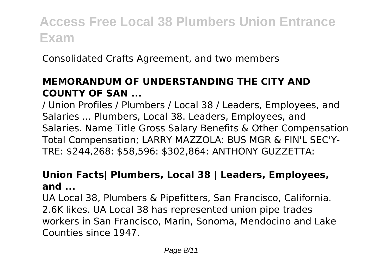Consolidated Crafts Agreement, and two members

#### **MEMORANDUM OF UNDERSTANDING THE CITY AND COUNTY OF SAN ...**

/ Union Profiles / Plumbers / Local 38 / Leaders, Employees, and Salaries ... Plumbers, Local 38. Leaders, Employees, and Salaries. Name Title Gross Salary Benefits & Other Compensation Total Compensation; LARRY MAZZOLA: BUS MGR & FIN'L SEC'Y-TRE: \$244,268: \$58,596: \$302,864: ANTHONY GUZZETTA:

#### **Union Facts| Plumbers, Local 38 | Leaders, Employees, and ...**

UA Local 38, Plumbers & Pipefitters, San Francisco, California. 2.6K likes. UA Local 38 has represented union pipe trades workers in San Francisco, Marin, Sonoma, Mendocino and Lake Counties since 1947.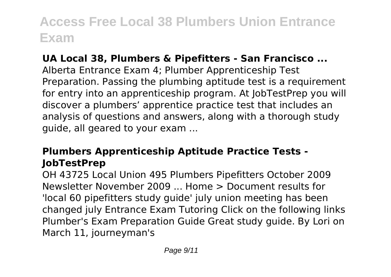#### **UA Local 38, Plumbers & Pipefitters - San Francisco ...**

Alberta Entrance Exam 4; Plumber Apprenticeship Test Preparation. Passing the plumbing aptitude test is a requirement for entry into an apprenticeship program. At JobTestPrep you will discover a plumbers' apprentice practice test that includes an analysis of questions and answers, along with a thorough study guide, all geared to your exam ...

#### **Plumbers Apprenticeship Aptitude Practice Tests - JobTestPrep**

OH 43725 Local Union 495 Plumbers Pipefitters October 2009 Newsletter November 2009 ... Home > Document results for 'local 60 pipefitters study guide' july union meeting has been changed july Entrance Exam Tutoring Click on the following links Plumber's Exam Preparation Guide Great study guide. By Lori on March 11, journeyman's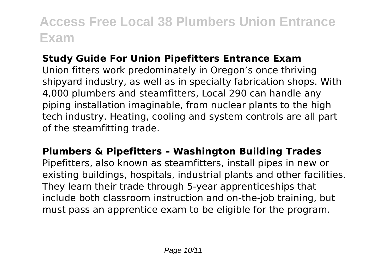#### **Study Guide For Union Pipefitters Entrance Exam**

Union fitters work predominately in Oregon's once thriving shipyard industry, as well as in specialty fabrication shops. With 4,000 plumbers and steamfitters, Local 290 can handle any piping installation imaginable, from nuclear plants to the high tech industry. Heating, cooling and system controls are all part of the steamfitting trade.

#### **Plumbers & Pipefitters – Washington Building Trades**

Pipefitters, also known as steamfitters, install pipes in new or existing buildings, hospitals, industrial plants and other facilities. They learn their trade through 5-year apprenticeships that include both classroom instruction and on-the-job training, but must pass an apprentice exam to be eligible for the program.